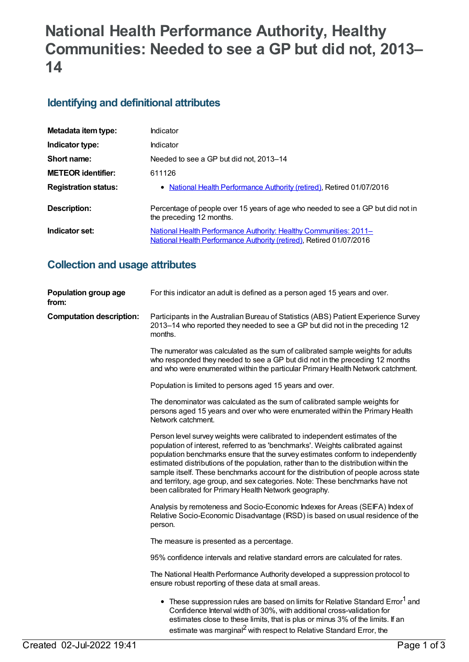# **National Health Performance Authority, Healthy Communities: Needed to see a GP but did not, 2013– 14**

# **Identifying and definitional attributes**

| Metadata item type:         | Indicator                                                                                                                                |
|-----------------------------|------------------------------------------------------------------------------------------------------------------------------------------|
| Indicator type:             | <b>Indicator</b>                                                                                                                         |
| Short name:                 | Needed to see a GP but did not, 2013-14                                                                                                  |
| <b>METEOR identifier:</b>   | 611126                                                                                                                                   |
| <b>Registration status:</b> | • National Health Performance Authority (retired), Retired 01/07/2016                                                                    |
| <b>Description:</b>         | Percentage of people over 15 years of age who needed to see a GP but did not in<br>the preceding 12 months.                              |
| Indicator set:              | National Health Performance Authority: Healthy Communities: 2011-<br>National Health Performance Authority (retired), Retired 01/07/2016 |

# **Collection and usage attributes**

| Population group age<br>from:   | For this indicator an adult is defined as a person aged 15 years and over.                                                                                                                                                                                                                                                                                                                                                                                                                                                                                                  |
|---------------------------------|-----------------------------------------------------------------------------------------------------------------------------------------------------------------------------------------------------------------------------------------------------------------------------------------------------------------------------------------------------------------------------------------------------------------------------------------------------------------------------------------------------------------------------------------------------------------------------|
| <b>Computation description:</b> | Participants in the Australian Bureau of Statistics (ABS) Patient Experience Survey<br>2013-14 who reported they needed to see a GP but did not in the preceding 12<br>months.                                                                                                                                                                                                                                                                                                                                                                                              |
|                                 | The numerator was calculated as the sum of calibrated sample weights for adults<br>who responded they needed to see a GP but did not in the preceding 12 months<br>and who were enumerated within the particular Primary Health Network catchment.                                                                                                                                                                                                                                                                                                                          |
|                                 | Population is limited to persons aged 15 years and over.                                                                                                                                                                                                                                                                                                                                                                                                                                                                                                                    |
|                                 | The denominator was calculated as the sum of calibrated sample weights for<br>persons aged 15 years and over who were enumerated within the Primary Health<br>Network catchment.                                                                                                                                                                                                                                                                                                                                                                                            |
|                                 | Person level survey weights were calibrated to independent estimates of the<br>population of interest, referred to as 'benchmarks'. Weights calibrated against<br>population benchmarks ensure that the survey estimates conform to independently<br>estimated distributions of the population, rather than to the distribution within the<br>sample itself. These benchmarks account for the distribution of people across state<br>and territory, age group, and sex categories. Note: These benchmarks have not<br>been calibrated for Primary Health Network geography. |
|                                 | Analysis by remoteness and Socio-Economic Indexes for Areas (SEIFA) Index of<br>Relative Socio-Economic Disadvantage (IRSD) is based on usual residence of the<br>person.                                                                                                                                                                                                                                                                                                                                                                                                   |
|                                 | The measure is presented as a percentage.                                                                                                                                                                                                                                                                                                                                                                                                                                                                                                                                   |
|                                 | 95% confidence intervals and relative standard errors are calculated for rates.                                                                                                                                                                                                                                                                                                                                                                                                                                                                                             |
|                                 | The National Health Performance Authority developed a suppression protocol to<br>ensure robust reporting of these data at small areas.                                                                                                                                                                                                                                                                                                                                                                                                                                      |
|                                 | • These suppression rules are based on limits for Relative Standard Error <sup>1</sup> and<br>Confidence Interval width of 30%, with additional cross-validation for<br>estimates close to these limits, that is plus or minus 3% of the limits. If an<br>estimate was marginal <sup>2</sup> with respect to Relative Standard Error, the                                                                                                                                                                                                                                   |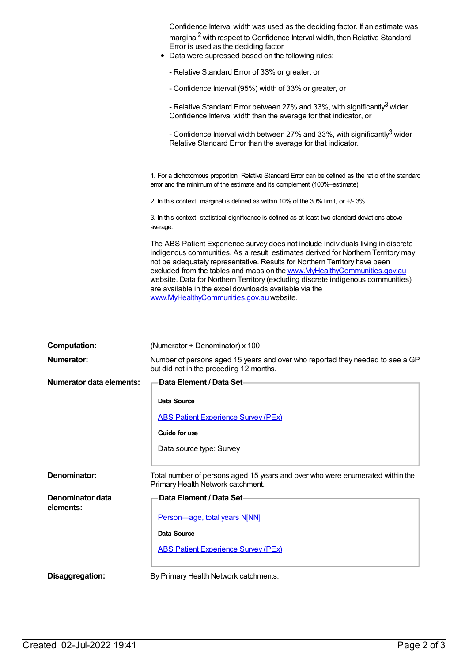| Confidence Interval width was used as the deciding factor. If an estimate was<br>marginal <sup>2</sup> with respect to Confidence Interval width, then Relative Standard<br>Error is used as the deciding factor<br>Data were supressed based on the following rules:                                                                                                                                                                                                                                                      |
|----------------------------------------------------------------------------------------------------------------------------------------------------------------------------------------------------------------------------------------------------------------------------------------------------------------------------------------------------------------------------------------------------------------------------------------------------------------------------------------------------------------------------|
| - Relative Standard Error of 33% or greater, or                                                                                                                                                                                                                                                                                                                                                                                                                                                                            |
| - Confidence Interval (95%) width of 33% or greater, or                                                                                                                                                                                                                                                                                                                                                                                                                                                                    |
| - Relative Standard Error between 27% and 33%, with significantly <sup>3</sup> wider<br>Confidence Interval width than the average for that indicator, or                                                                                                                                                                                                                                                                                                                                                                  |
| - Confidence Interval width between 27% and 33%, with significantly <sup>3</sup> wider<br>Relative Standard Error than the average for that indicator.                                                                                                                                                                                                                                                                                                                                                                     |
| 1. For a dichotomous proportion, Relative Standard Error can be defined as the ratio of the standard<br>error and the minimum of the estimate and its complement (100%-estimate).                                                                                                                                                                                                                                                                                                                                          |
| 2. In this context, marginal is defined as within 10% of the 30% limit, or +/-3%                                                                                                                                                                                                                                                                                                                                                                                                                                           |
| 3. In this context, statistical significance is defined as at least two standard deviations above<br>average.                                                                                                                                                                                                                                                                                                                                                                                                              |
| The ABS Patient Experience survey does not include individuals living in discrete<br>indigenous communities. As a result, estimates derived for Northern Territory may<br>not be adequately representative. Results for Northern Territory have been<br>excluded from the tables and maps on the www.MyHealthyCommunities.gov.au<br>website. Data for Northern Territory (excluding discrete indigenous communities)<br>are available in the excel downloads available via the<br>www.MyHealthyCommunities.gov.au website. |

| <b>Computation:</b>             | (Numerator $\div$ Denominator) x 100                                                                                     |
|---------------------------------|--------------------------------------------------------------------------------------------------------------------------|
| Numerator:                      | Number of persons aged 15 years and over who reported they needed to see a GP<br>but did not in the preceding 12 months. |
| <b>Numerator data elements:</b> | Data Element / Data Set-                                                                                                 |
|                                 | Data Source                                                                                                              |
|                                 | <b>ABS Patient Experience Survey (PEx)</b>                                                                               |
|                                 | Guide for use                                                                                                            |
|                                 | Data source type: Survey                                                                                                 |
|                                 |                                                                                                                          |
| Denominator:                    | Total number of persons aged 15 years and over who were enumerated within the<br>Primary Health Network catchment.       |
| Denominator data<br>elements:   | Data Element / Data Set-                                                                                                 |
|                                 | Person-age, total years N[NN]                                                                                            |
|                                 | Data Source                                                                                                              |
|                                 | <b>ABS Patient Experience Survey (PEx)</b>                                                                               |
| Disaggregation:                 | By Primary Health Network catchments.                                                                                    |